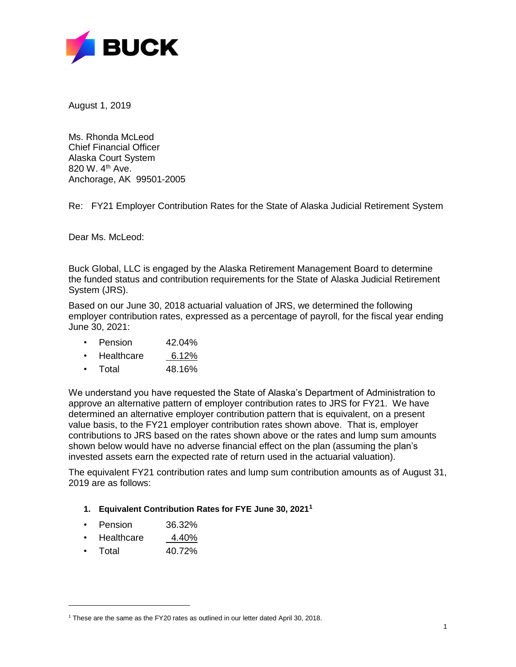

August 1, 2019

Ms. Rhonda McLeod Chief Financial Officer Alaska Court System 820 W. 4<sup>th</sup> Ave. Anchorage, AK 99501-2005

Re: FY21 Employer Contribution Rates for the State of Alaska Judicial Retirement System

Dear Ms. McLeod:

Buck Global, LLC is engaged by the Alaska Retirement Management Board to determine the funded status and contribution requirements for the State of Alaska Judicial Retirement System (JRS).

Based on our June 30, 2018 actuarial valuation of JRS, we determined the following employer contribution rates, expressed as a percentage of payroll, for the fiscal year ending June 30, 2021:

- Pension 42.04%
- Healthcare 6.12%
- Total 48.16%

We understand you have requested the State of Alaska's Department of Administration to approve an alternative pattern of employer contribution rates to JRS for FY21. We have determined an alternative employer contribution pattern that is equivalent, on a present value basis, to the FY21 employer contribution rates shown above. That is, employer contributions to JRS based on the rates shown above or the rates and lump sum amounts shown below would have no adverse financial effect on the plan (assuming the plan's invested assets earn the expected rate of return used in the actuarial valuation).

The equivalent FY21 contribution rates and lump sum contribution amounts as of August 31, 2019 are as follows:

## **1. Equivalent Contribution Rates for FYE June 30, 2021<sup>1</sup>**

- Pension 36.32%
- Healthcare 4.40%
- Total 40.72%

l

<sup>&</sup>lt;sup>1</sup> These are the same as the FY20 rates as outlined in our letter dated April 30, 2018.